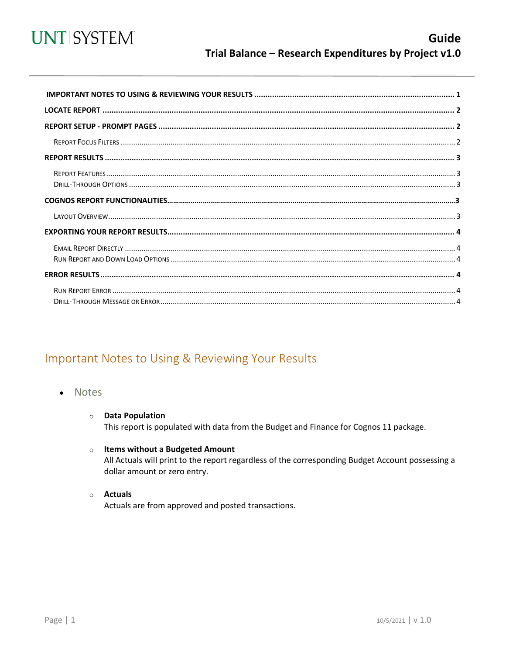

<span id="page-0-0"></span>

## Important Notes to Using & Reviewing Your Results

**Notes**  $\bullet$ 

#### **O** Data Population This report is populated with data from the Budget and Finance for Cognos 11 package.

- o Items without a Budgeted Amount All Actuals will print to the report regardless of the corresponding Budget Account possessing a dollar amount or zero entry.
- o Actuals

Actuals are from approved and posted transactions.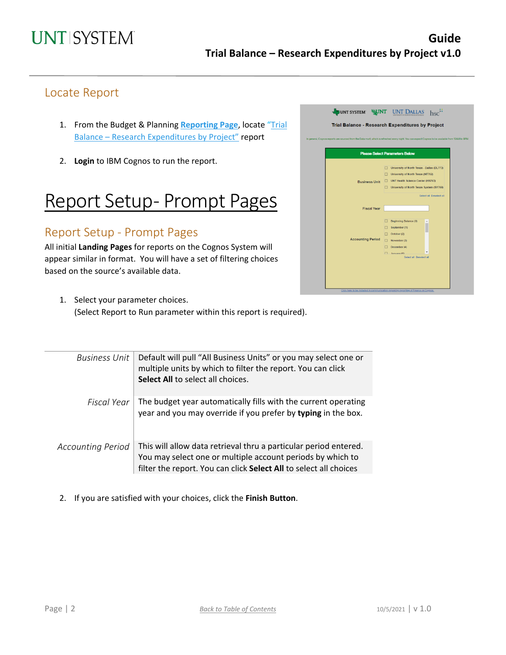## Locate Report

- 1. From the Budget & Planning [Reporting Page](https://finance.untsystem.edu/reporting), locate "Trial Balance – [Research Expenditures by Project"](https://cognospd.admin.unt.edu/bi/?pathRef=.public_folders%2FAFR%2BReports%2FTrial%2BBalance%2FTrial%2BBalance%2B-%2BResearch%2BExpenditures%2Bby%2BProject) report
- 2. **Login** to IBM Cognos to run the report.

## Report Setup- Prompt Pages

### Report Setup - Prompt Pages

All initial **Landing Pages** for reports on the Cognos System will appear similar in format. You will have a set of filtering choices based on the source's available data.

|                          | <b>Please Select Parameters Below</b>                                                                                                                                                                        |
|--------------------------|--------------------------------------------------------------------------------------------------------------------------------------------------------------------------------------------------------------|
| <b>Business Unit</b>     | University of North Texas - Dallas (DL773)<br>University of North Texas (NT752)<br>п<br><b>UNT Health Science Center (HS763)</b><br>□<br>University of North Texas System (SY769)<br>Select all Deselect all |
| <b>Fiscal Year</b>       |                                                                                                                                                                                                              |
| <b>Accounting Period</b> | Beginning Balance (0)<br>September (1)<br>п<br>October (2)<br>п<br>$\Box$<br>November (3)<br>□<br>December (4)<br>$\Box$ January (5)<br>Select all Deselect all                                              |

1. Select your parameter choices. (Select Report to Run parameter within this report is required).

| <b>Business Unit</b>     | Default will pull "All Business Units" or you may select one or<br>multiple units by which to filter the report. You can click<br>Select All to select all choices.                                 |
|--------------------------|-----------------------------------------------------------------------------------------------------------------------------------------------------------------------------------------------------|
| Fiscal Year              | The budget year automatically fills with the current operating<br>year and you may override if you prefer by typing in the box.                                                                     |
| <b>Accounting Period</b> | This will allow data retrieval thru a particular period entered.<br>You may select one or multiple account periods by which to<br>filter the report. You can click Select All to select all choices |

2. If you are satisfied with your choices, click the **Finish Button**.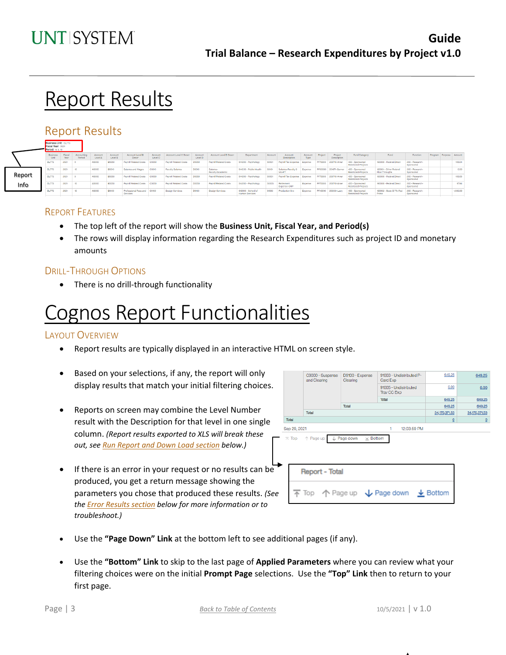## **Report Results**

### Report Results

|        | ---------------------<br>Fiscal Year: 2021<br>Period: 8, 9, 10 |                |                      |                    |                    |                                   |                               |                              |                    |                               |                                             |         |                           |                        |         |                        |                                               |                                       |                             |                        |          |
|--------|----------------------------------------------------------------|----------------|----------------------|--------------------|--------------------|-----------------------------------|-------------------------------|------------------------------|--------------------|-------------------------------|---------------------------------------------|---------|---------------------------|------------------------|---------|------------------------|-----------------------------------------------|---------------------------------------|-----------------------------|------------------------|----------|
|        | <b>Business</b><br>Unit.                                       | Fiscal<br>Year | Accounting<br>Period | Account<br>Level A | Account<br>Level B | Account Level B<br>Deser          | Account<br>Level <sub>C</sub> | Account Level C Descr        | Account<br>Level D | <b>Account Level D Descr</b>  | <b>Department</b>                           | Account | Account<br>Description    | Account<br><b>Type</b> | Project | Project<br>Description | Fund Category                                 | Fund                                  | Function                    | Program Purpose Amount |          |
|        | <b>DL773</b>                                                   | 2021           |                      | A5000              | <b>B5050</b>       | <b>Payroll Related Costs</b>      | C5050                         | <b>Payroll Related Costs</b> | <b>D5050</b>       | <b>Payrol Related Costs</b>   | 514200 - Psychology                         | 50501   | Payroll Tax Expense       | Expense                |         | PF70000 200710-Arxer   | 400 - Spansored<br>Restricted-Projects        | 190000 - Federal Direct               | 200 - Research<br>Sponsored |                        | 105.64   |
|        | <b>DL773</b>                                                   | 2021           | 10 <sup>10</sup>     | A5000              | <b>B5010</b>       | Salaries and Wages                | C5010                         | Faculty Salaries             | D5010              | Salaries-<br>Faculty/Academic | 514220 - Public Health                      |         | Salaries-Faculty<br>MO-FT | Expense                |         | PF50000 201671-Garner  | 400 - Sponsored<br><b>Restricted-Project</b>  | 190001 - Other Feder<br>Flow Throughs | 200 - Research<br>Sponsored |                        | 0.00     |
| Report | <b>DL773</b>                                                   | 2021           |                      | <b>A5000</b>       | 85050              | <b>Payroll Related Costs</b>      | C5050                         | <b>Payroll Related Costs</b> | <b>D5050</b>       | <b>Payrol Related Costs</b>   | 514200 - Psychology                         | 50501   | Payroll Tax Expense       | Expense                |         | PF70000 200710-Arxer   | 400 - Sponsored<br>Restricted-Projects        | 190000 - Federal Direct               | 200 - Research<br>Sponsored |                        | 105.65   |
| Info   | <b>DL773</b>                                                   | 2021           | $1 - 10$             | <b>A5000</b>       | 85050              | Payroll Related Costs             | C5050                         | <b>Payroll Related Costs</b> | <b>D5050</b>       | <b>Payrol Related Costs</b>   | 514200 - Psychology                         | 50505   | Retirement<br>Expense-ORP | Expense                |         | PF70000 200710-Arxer   | 400 - Sponsored<br>Restricted-Projects        | 190000 - Federal Direct               | 200 - Research<br>Sponsored |                        | 97.94    |
|        | <b>DL773</b>                                                   | 2021           | 10 <sub>10</sub>     | A5000              | <b>B5100</b>       | Professional Fees and<br>Services | C5150                         | Design Services              | D5150              | Design Services               | 519000 - School of<br><b>Human Services</b> | 51503   | Production Syc            | Expense                |         | PF40010 203031-Lacv    | 400 - Sponsored<br><b>Restricted-Projects</b> | 190002 - State Of Tx-Fed<br>Prime     | 200 - Research<br>Sponsored |                        | 1,500.00 |
|        |                                                                |                |                      |                    |                    |                                   |                               |                              |                    |                               |                                             |         |                           |                        |         |                        |                                               |                                       |                             |                        |          |

### REPORT FEATURES

- The top left of the report will show the **Business Unit, Fiscal Year, and Period(s)**
- The rows will display information regarding the Research Expenditures such as project ID and monetary amounts

### DRILL-THROUGH OPTIONS

• There is no drill-through functionality

## Cognos Report Functionalities

### LAYOUT OVERVIEW

- Report results are typically displayed in an interactive HTML on screen style.
- Based on your selections, if any, the report will only display results that match your initial filtering choices.
- Reports on screen may combine the Level Number result with the Description for that level in one single column. *(Report results exported to XLS will break these out, see Run Report and Down Load section below.)*
- If there is an error in your request or no results can be produced, you get a return message showing the parameters you chose that produced these results. *(See th[e Error Results section](#page-3-0) below for more information or to troubleshoot.)*

|  |              | C9000 - Suspense<br>and Clearing           | D9100 - Expense<br>Clearing               | 91003 - Undistributed P-<br>Card Exp                                                    | 649.25                  | 649.25         |
|--|--------------|--------------------------------------------|-------------------------------------------|-----------------------------------------------------------------------------------------|-------------------------|----------------|
|  |              |                                            |                                           | 91005 - Undistributed<br>Trav CC Exp                                                    | 0.00                    | 0.00           |
|  |              |                                            |                                           | Total                                                                                   | 649.25                  | 649.25         |
|  |              |                                            | Total                                     |                                                                                         | 649.25                  | 649.25         |
|  |              | Total                                      |                                           |                                                                                         | 34,170,371.53           | 34,170,371.53  |
|  | Total        |                                            |                                           |                                                                                         | $\overline{\mathbf{0}}$ | $\overline{0}$ |
|  | Sep 29, 2021 |                                            |                                           | 12:03:59 PM<br>1                                                                        |                         |                |
|  |              | $\overline{\wedge}$ Top $\uparrow$ Page up | $\downarrow$ Page down<br>$\times$ Bottom |                                                                                         |                         |                |
|  |              |                                            |                                           |                                                                                         |                         |                |
|  |              |                                            |                                           | $\overline{\uparrow}$ Top $\uparrow$ Page up $\downarrow$ Page down $\downarrow$ Bottom |                         |                |

- Use the **"Page Down" Link** at the bottom left to see additional pages (if any).
- Use the **"Bottom" Link** to skip to the last page of **Applied Parameters** where you can review what your filtering choices were on the initial **Prompt Page** selections. Use the **"Top" Link** then to return to your first page.